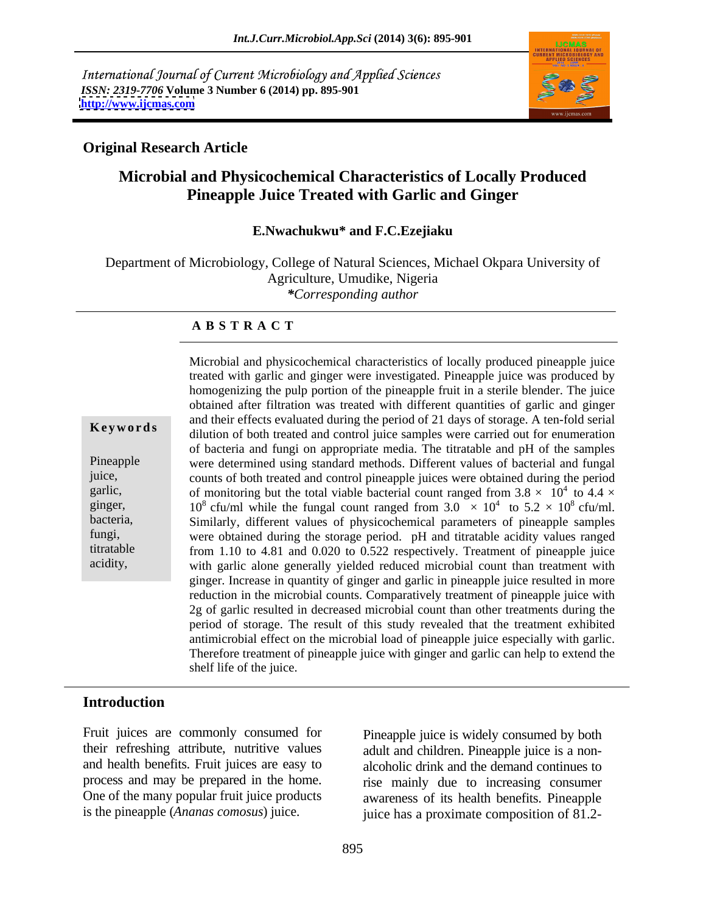International Journal of Current Microbiology and Applied Sciences *ISSN: 2319-7706* **Volume 3 Number 6 (2014) pp. 895-901 <http://www.ijcmas.com>**



## **Original Research Article**

## **Microbial and Physicochemical Characteristics of Locally Produced Pineapple Juice Treated with Garlic and Ginger**

**E.Nwachukwu\* and F.C.Ezejiaku** 

Department of Microbiology, College of Natural Sciences, Michael Okpara University of Agriculture, Umudike, Nigeria *\*Corresponding author*

### **A B S T R A C T**

**Keywords** dilution of both treated and control juice samples were carried out for enumeration Pineapple were determined using standard methods. Different values of bacterial and fungal juice, counts of both treated and control pineapple juices were obtained during the period garlic, of monitoring but the total viable bacterial count ranged from  $3.8 \times 10^4$  to  $4.4 \times$ ginger, 10<sup>8</sup> cfu/ml while the fungal count ranged from  $3.0 \times 10^4$  to  $5.2 \times 10^8$  cfu/ml. bacteria, Similarly, different values of physicochemical parameters of pineapple samples fungi, were obtained during the storage period. pH and titratable acidity values ranged titratable from 1.10 to 4.81 and 0.020 to 0.522 respectively. Treatment of pineapple juice acidity, with garlic alone generally yielded reduced microbial count than treatment with Microbial and physicochemical characteristics of locally produced pineapple juice treated with garlic and ginger were investigated. Pineapple juice was produced by homogenizing the pulp portion of the pineapple fruit in a sterile blender. The juice obtained after filtration was treated with different quantities of garlic and ginger and their effects evaluated during the period of 21 days of storage. A ten-fold serial of bacteria and fungi on appropriate media. The titratable and pH of the samples  $\frac{4}{10}$   $\frac{1}{4}$   $\frac{1}{2}$ to 4.4  $\times$ <sup>4</sup> to  $5.2 \times 10^8$  cfu/ml.  $8 \text{ cfu/ml}.$ ginger. Increase in quantity of ginger and garlic in pineapple juice resulted in more reduction in the microbial counts. Comparatively treatment of pineapple juice with 2g of garlic resulted in decreased microbial count than other treatments during the period of storage. The result of this study revealed that the treatment exhibited antimicrobial effect on the microbial load of pineapple juice especially with garlic. Therefore treatment of pineapple juice with ginger and garlic can help to extend the shelf life of the juice.

## **Introduction**

Fruit juices are commonly consumed for their refreshing attribute, nutritive values adult and children. Pineapple juice is a non and health benefits. Fruit juices are easy to alcoholic drink and the demand continues to process and may be prepared in the home. rise mainly due to increasing consumer One of the many popular fruit juice products

is the pineapple (*Ananas comosus*) juice. juice has a proximate composition of 81.2- Pineapple juice is widely consumed by both awareness of its health benefits. Pineapple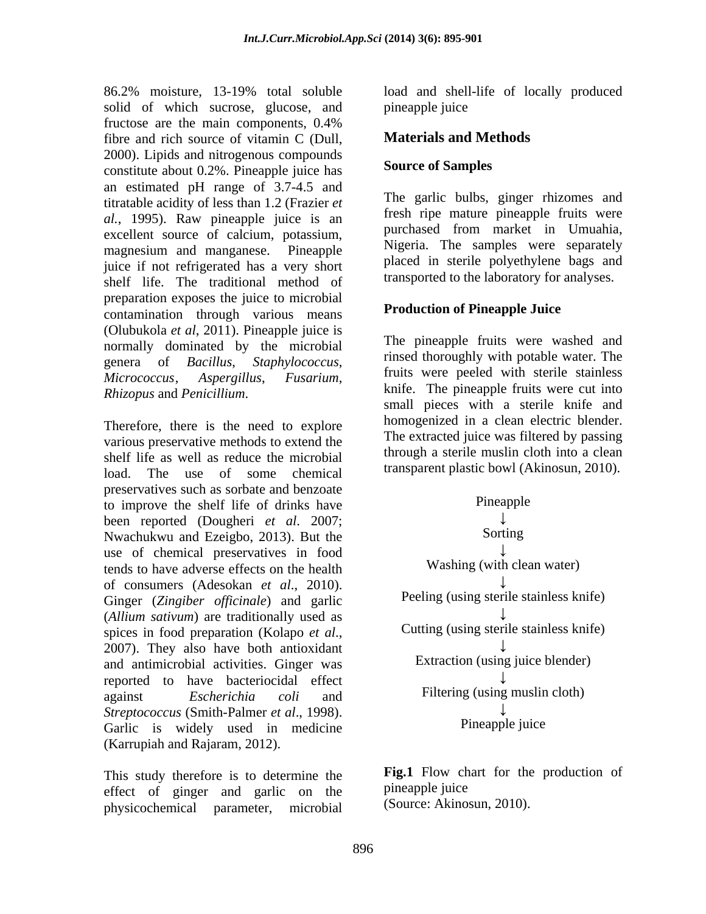86.2% moisture, 13-19% total soluble load and shell-life of locally produced solid of which sucrose, glucose, and pineapple juice fructose are the main components, 0.4% fibre and rich source of vitamin C (Dull, 2000). Lipids and nitrogenous compounds<br>constitute about 0.2%. Pineapple juice has **Source of Samples** constitute about 0.2%. Pineapple juice has an estimated pH range of 3.7-4.5 and titratable acidity of less than 1.2 (Frazier *et al.*, 1995). Raw pineapple juice is an excellent source of calcium, potassium, magnesium and manganese. Pineapple substitute in the samples were separately juice if not refrigerated has a very short shelf life. The traditional method of preparation exposes the juice to microbial contamination through various means (Olubukola *et al*, 2011). Pineapple juice is normally dominated by the microbial genera of *Bacillus*, *Staphylococcus*, *Micrococcus*, *Aspergillus*, *Fusarium*, *Rhizopus* and *Penicillium*.

Therefore, there is the need to explore various preservative methods to extend the shelf life as well as reduce the microbial load. The use of some chemical preservatives such as sorbate and benzoate<br>to improve the shelf life of drinks have<br>Pineapple to improve the shelf life of drinks have been reported (Dougheri *et al.* 2007;<br>Nwachukwu and Ezeigho 2013) But the Sorting Nwachukwu and Ezeigbo, 2013). But the use of chemical preservatives in food tends to have adverse effects on the health of consumers (Adesokan *et al*., 2010). Ginger (*Zingiber officinale*) and garlic (*Allium sativum*) are traditionally used as spices in food preparation (Kolapo *et al.*,<br>2007). They also have both antioxidant and antimicrobial activities. Ginger was reported to have bacteriocidal effect against *Escherichia coli* and *Streptococcus* (Smith-Palmer *et al*., 1998). Garlic is widely used in medicine (Karrupiah and Rajaram, 2012).

This study therefore is to determine the **FIG.I** Flow cherefore is to determine the **FIG.I** Flow cherefore of  $\theta$  incapple ince effect of ginger and garlic on the physicochemical parameter, microbial

pineapple juice

## **Materials and Methods**

## **Source of Samples**

The garlic bulbs, ginger rhizomes and fresh ripe mature pineapple fruits were purchased from market in Umuahia, Nigeria. The samples were separately placed in sterile polyethylene bags and transported to the laboratory for analyses.

## **Production of Pineapple Juice**

The pineapple fruits were washed and rinsed thoroughly with potable water. The fruits were peeled with sterile stainless knife. The pineapple fruits were cut into small pieces with a sterile knife and homogenized in a clean electric blender. The extracted juice was filtered by passing through a sterile muslin cloth into a clean transparent plastic bowl (Akinosun, 2010).



**Fig.1** Flow chart for the production of pineapple juice (Source: Akinosun, 2010).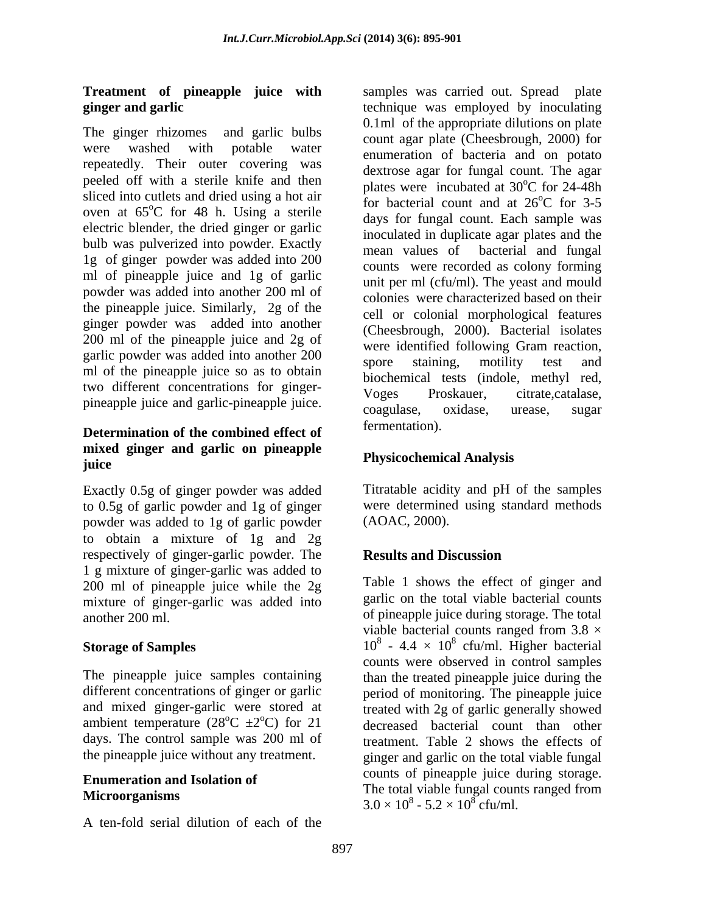# **Treatment of pineapple juice with**

The ginger rhizomes and garlic bulbs repeatedly. Their outer covering was peeled off with a sterile knife and then sliced into cutlets and dried using a hot air oven at 65<sup>o</sup>C for 48 h. Using a sterile electric blender, the dried ginger or garlic bulb was pulverized into powder. Exactly<br>mean values of bacterial and fungal 1g of ginger powder was added into 200 ml of pineapple juice and 1g of garlic powder was added into another 200 ml of the pineapple juice. Similarly, 2g of the ginger powder was added into another 200 ml of the pineapple juice and 2g of garlic powder was added into another 200 spore staining, motility test and ml of the pineapple juice so as to obtain two different concentrations for ginger-<br>Voges Proskauer, citrate,catalase,

## **Determination of the combined effect of mixed ginger and garlic on pineapple juice**

Exactly 0.5g of ginger powder was added to 0.5g of garlic powder and 1g of ginger powder was added to 1g of garlic powder to obtain a mixture of 1g and 2g respectively of ginger-garlic powder. The **Results and Discussion** 1 g mixture of ginger-garlic was added to 200 ml of pineapple juice while the 2g mixture of ginger-garlic was added into another 200 ml. of pineapple juice during storage. The total

days. The control sample was 200 ml of

A ten-fold serial dilution of each of the

**ginger and garlic** technique was employed by inoculating were washed with potable water enumeration of bacteria and on potato  $\degree$ C for 48 h. Using a sterile days for fungal count Each sample was pineapple juice and garlic-pineapple juice.<br>coagulase, oxidase, urease, sugar samples was carried out. Spread plate 0.1ml of the appropriate dilutions on plate count agar plate (Cheesbrough, 2000) for dextrose agar for fungal count. The agar plates were incubated at  $30^{\circ}$ C for 24-48h  $\rm{^{\circ}C}$  for 24-48h for bacterial count and at  $26^{\circ}$ C for 3-5  $^{\circ}$ C for 3-5 days for fungal count. Each sample was inoculated in duplicate agar plates and the mean values of bacterial and fungal counts were recorded as colony forming unit per ml (cfu/ml). The yeast and mould colonies were characterized based on their cell or colonial morphological features (Cheesbrough, 2000). Bacterial isolates were identified following Gram reaction, spore staining, motility test and biochemical tests (indole, methyl red, Voges Proskauer, citrate,catalase, coagulase, oxidase, urease, sugar fermentation).

## **Physicochemical Analysis**

Titratable acidity and pH of the samples were determined using standard methods (AOAC, 2000).

## **Results and Discussion**

**Storage of Samples**  $10^8 - 4.4 \times 10^8$  cfu/ml. Higher bacterial The pineapple juice samples containing than the treated pineapple juice during the different concentrations of ginger or garlic period of monitoring. The pineapple juice and mixed ginger-garlic were stored at treated with 2g of garlic generally showed ambient temperature  $(28^{\circ}\text{C} \pm 2^{\circ}\text{C})$  for 21 decreased bacterial count than other the pineapple juice without any treatment. ginger and garlic on the total viable fungal **Enumeration and Isolation of Enumeration and Isolation of Enumeration and Isolation of Enumeration Enumeration Enumeration Enumeration Enumeration Enumeration Enumeration Enumeration Enumeration En** Microorganisms and the collision of the collision of the collision of the collision of the collision of the collision of the collision of the collision of the collision of the collision of the collision of the collision of Table 1 shows the effect of ginger and garlic on the total viable bacterial counts viable bacterial counts ranged from  $3.8 \times$ counts were observed in control samples treatment. Table 2 shows the effects of counts of pineapple juice during storage. The total viable fungal counts ranged from  $3.0 \times 10^8$  -  $5.2 \times 10^8$  cfu/ml.  $-5.2 \times 10^8$  cfu/ml.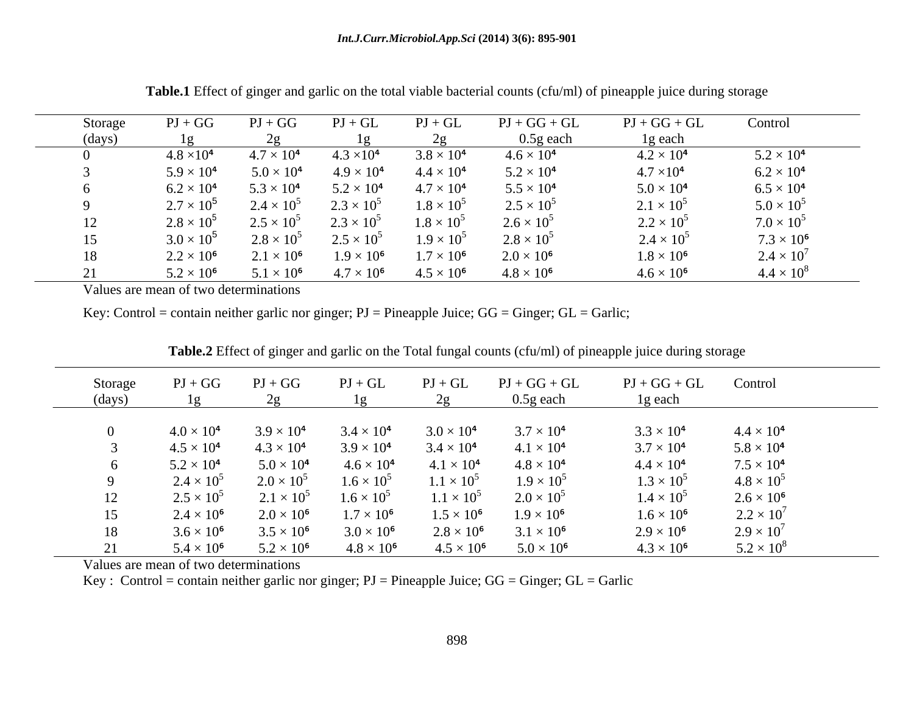| Storage | $PI + GG$           | $PI + GG$           | $PI + GL$           | $PI + GL$           | $PJ+GG+GL$          | $PJ + GG + GL$      | Control             |
|---------|---------------------|---------------------|---------------------|---------------------|---------------------|---------------------|---------------------|
| (days)  |                     |                     |                     |                     | $0.5g$ each         | 1g each             |                     |
|         | $4.8 \times 10^{4}$ | $4.7 \times 10^{4}$ | $4.3 \times 10^{4}$ | $3.8 \times 10^{4}$ | $4.6 \times 10^{4}$ | $4.2 \times 10^4$   | $5.2 \times 10^{4}$ |
|         | $5.9 \times 10^{4}$ | $5.0 \times 10^4$   | $4.9 \times 10^{4}$ | $4.4 \times 10^{4}$ | $5.2 \times 10^{4}$ | $4.7 \times 10^4$   | $6.2 \times 10^{4}$ |
|         | $6.2 \times 10^4$   | $5.3 \times 10^{4}$ | $5.2 \times 10^4$   | $4.7 \times 10^4$   | $5.5 \times 10^{4}$ | $5.0 \times 10^{4}$ | $6.5 \times 10^{4}$ |
|         | $2.7 \times 10^{5}$ | $2.4 \times 10^{5}$ | $2.3 \times 10^{5}$ | $1.8 \times 10^{5}$ | $2.5 \times 10^{5}$ | $2.1 \times 10^{5}$ | $5.0 \times 10^{5}$ |
|         | $2.8 \times 10^5$   | $2.5 \times 10^{5}$ | $2.3 \times 10^{5}$ | $1.8 \times 10^5$   | $2.6 \times 10^{5}$ | $2.2 \times 10^{5}$ | $7.0 \times 10^{5}$ |
|         | $3.0 \times 10^{5}$ | $2.8 \times 10^5$   | $2.5 \times 10^{5}$ | $1.9 \times 10^{5}$ | $2.8 \times 10^5$   | $2.4 \times 10^{5}$ | $7.3 \times 10^{6}$ |
|         | $2.2 \times 10^6$   | $2.1 \times 10^6$   | $1.9 \times 10^6$   | $1.7 \times 10^6$   | $2.0 \times 10^6$   | $1.8 \times 10^6$   | $2.4 \times 10^{7}$ |
|         | $5.2 \times 10^6$   | $5.1 \times 10^6$   | $4.7 \times 10^{6}$ | $4.5 \times 10^6$   | $4.8 \times 10^{6}$ | $4.6 \times 10^{6}$ | $4.4 \times 10$     |

**Table.1** Effect of ginger and garlic on the total viable bacterial counts (cfu/ml) of pineapple juice during storage

Values are mean of two determinations

Key: Control = contain neither garlic nor ginger;  $PI = P$ ineapple Juice;  $GG = G$ inger;  $GL = G$ arlic;

| Storage<br>(days) | $PI + GG$           | $PI + GG$           | $PI + GL$           | $PI + GL$           | $PI + GG + GL$<br>$0.5g$ each | $PI + GG + GL$<br>1g each | Control             |
|-------------------|---------------------|---------------------|---------------------|---------------------|-------------------------------|---------------------------|---------------------|
|                   |                     |                     |                     |                     |                               |                           |                     |
|                   | $4.0 \times 10^{4}$ | $3.9 \times 10^{4}$ | $3.4 \times 10^{4}$ | $3.0 \times 10^{4}$ | $3.7 \times 10^{4}$           | $3.3 \times 10^{4}$       | $4.4 \times 10^4$   |
|                   | $4.5 \times 10^{4}$ | $4.3 \times 10^{4}$ | $3.9 \times 10^{4}$ | $3.4 \times 10^{4}$ | $4.1 \times 10^{4}$           | $3.7 \times 10^{4}$       | $5.8 \times 10^4$   |
|                   | $5.2 \times 10^{4}$ | $5.0 \times 10^{4}$ | $4.6 \times 10^{4}$ | $4.1 \times 10^{4}$ | $4.8 \times 10^{4}$           | $4.4 \times 10^{4}$       | $7.5 \times 10^4$   |
|                   | $2.4 \times 10^5$   | $2.0 \times 10^{5}$ | $1.6 \times 10^{5}$ | $1.1 \times 10^5$   | $1.9 \times 10^{5}$           | $1.3 \times 10^{5}$       | $4.8 \times 10^{3}$ |
|                   | $2.5 \times 10^5$   | $2.1 \times 10^5$   | $1.6 \times 10^{5}$ | $1.1 \times 10^5$   | $2.0 \times 10^5$             | $1.4 \times 10^{5}$       | $2.6 \times 10^6$   |
|                   | $2.4 \times 10^6$   | $2.0 \times 10^6$   | $1.7 \times 10^6$   | $1.5 \times 10^6$   | $1.9 \times 10^6$             | $1.6 \times 10^6$         | $2.2 \times 10^{7}$ |
| 18                | $3.6 \times 10^{6}$ | $3.5 \times 10^{6}$ | $3.0 \times 10^{6}$ | $2.8 \times 10^6$   | $3.1 \times 10^{6}$           | $2.9 \times 10^6$         | $2.9 \times 10^{7}$ |
|                   | $5.4 \times 10^{6}$ | $5.2 \times 10^{6}$ | $4.8 \times 10^6$   | $4.5 \times 10^6$   | $5.0 \times 10^{6}$           | $4.3 \times 10^{6}$       | $5.2 \times 10^{8}$ |

**Table.2** Effect of ginger and garlic on the Total fungal counts (cfu/ml) of pineapple juice during storage

Values are mean of two determinations

Key : Control = contain neither garlic nor ginger;  $PI = P$ ineapple Juice;  $GG = G$ inger;  $GL = Gar$ lic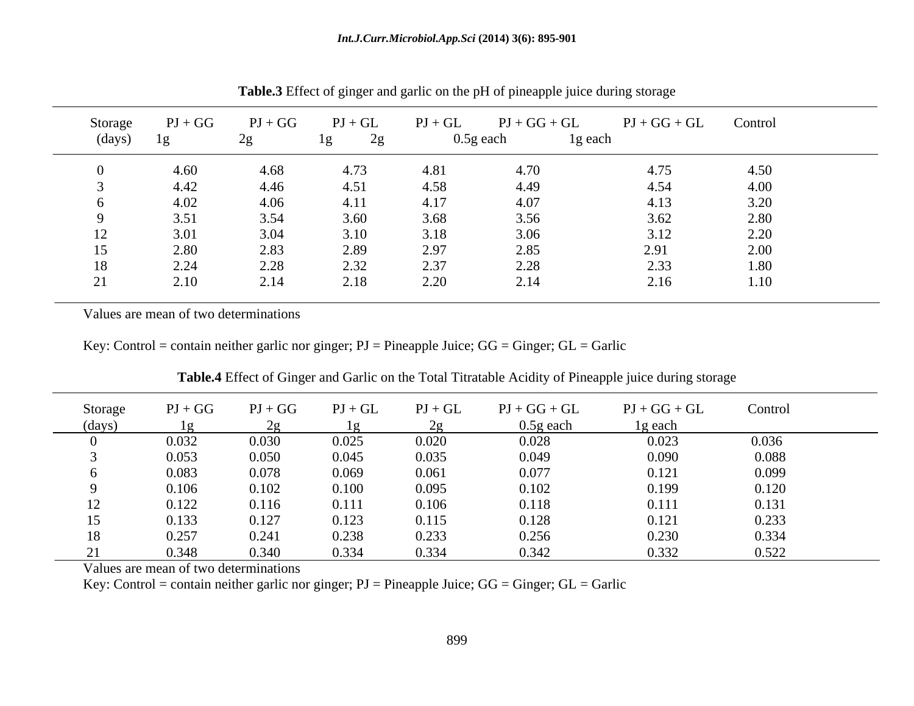| Storage<br>(days) | $PI + GG$<br>l g | $PJ + GG$<br>2g | $\mathbf{P}\mathbf{J}+\mathbf{G}\mathbf{L}$<br>2g<br>1 <sub>g</sub> | $PI + GL$ | $PI + GG + GL$<br>$0.5g$ each | $PJ + GG + GL$<br>1g each | Control          |
|-------------------|------------------|-----------------|---------------------------------------------------------------------|-----------|-------------------------------|---------------------------|------------------|
|                   | 4.60             | 4.68            | 4.73                                                                | 4.81      | 4.70                          | 4.75                      | 4.50             |
|                   | 4.42             | 4.46            | 4.51                                                                | 4.58      | 4.49                          | 4.54                      | 4.00             |
|                   | 4.02             | 4.06            | 4.11                                                                | 4.17      | 4.07                          | 4.13                      | 3.20             |
|                   | 3.51             | 3.54            | 3.60                                                                | 3.68      | 3.56                          | 3.62                      | 2.80             |
| $\perp$           | 3.01             | 3.04            | 3.10                                                                | 3.18      | 3.06                          | 3.12                      | $\Omega$<br>2.20 |
|                   | 2.80             | 2.83            | 2.89                                                                | 2.97      | 2.85                          | 2.91                      | 2.00             |
| 18                | 2.24             | 2.28            | 2.32                                                                | 2.37      | 2.28                          | 2.33                      | 1.80             |
| 21                | 2.10             | 2.14            | 2.18                                                                | 2.20      | 2.14                          | 2.16                      | 1.10             |

**Table.3** Effect of ginger and garlic on the pH of pineapple juice during storage

Key: Control = contain neither garlic nor ginger; PJ = Pineapple Juice; GG = Ginger; GL = Garlic

| Storage | $PI + GG$ | $PJ + GG$ | $PI + GL$ | $\mathbf{P}\mathbf{J}+\mathbf{G}\mathbf{L}$ | $PJ+GG+GL$  | $PJ + GG + GL$ | Control |
|---------|-----------|-----------|-----------|---------------------------------------------|-------------|----------------|---------|
| (days   |           |           |           |                                             | $0.5g$ each | 1g each        |         |
|         | 0.032     | 0.030     | 0.025     | 0.020                                       | 0.028       | 0.023          | 0.036   |
|         | 0.053     | 0.050     | 0.045     | 0.035                                       | 0.049       | 0.090          | 0.088   |
|         | 0.083     | 0.078     | 0.069     | 0.061                                       | 0.077       | 0.12           | 0.099   |
|         | 0.106     | 0.102     | 0.100     | 0.095                                       | 0.102       | 0.199          | 0.120   |
|         | 0.122     | 0.116     | 0.111     | 0.106                                       | 0.118       | 0.111          | 0.131   |
|         | 0.133     | 0.127     | 0.123     | 0.115                                       | 0.128       | 0.12           | 0.233   |
|         | 0.257     | 0.241     | 0.238     | 0.233                                       | 0.256       | 0.230          | 0.334   |
|         | 0.348     | 0.340     | 0.334     | 0.334                                       | 0.342       | 0.332          | 0.522   |

**Table.4** Effect of Ginger and Garlic on the Total Titratable Acidity of Pineapple juice during storage

Values are mean of two determinations

Key: Control = contain neither garlic nor ginger; PJ = Pineapple Juice; GG = Ginger; GL = Garlic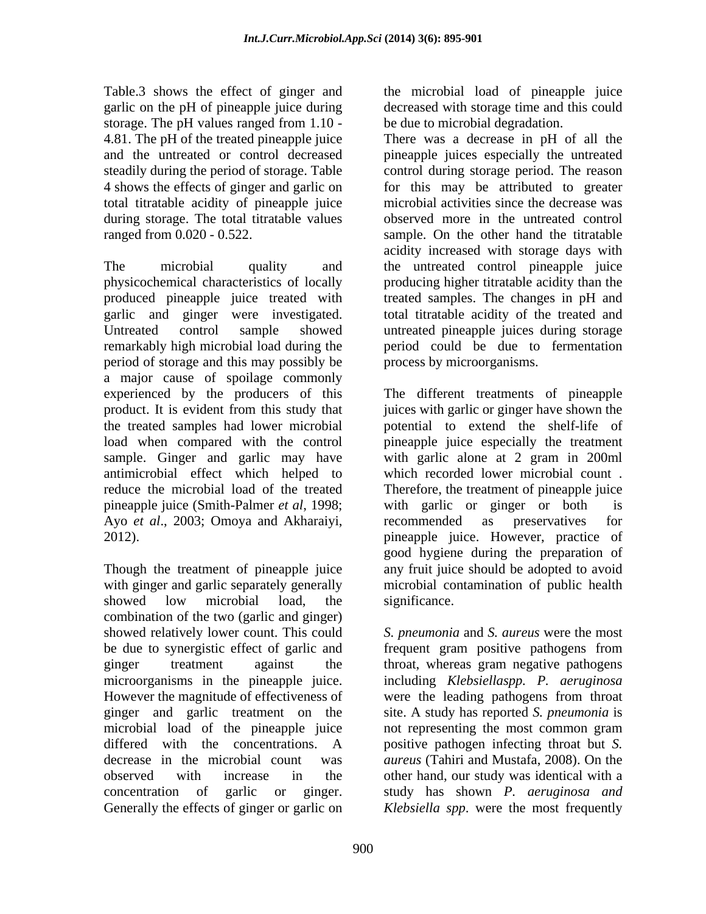Table.3 shows the effect of ginger and the microbial load of pineapple juice garlic on the pH of pineapple juice during storage. The pH values ranged from 1.10 total titratable acidity of pineapple juice during storage. The total titratable values

The microbial quality and the untreated control pineapple juice physicochemical characteristics of locally producing higher titratable acidity than the produced pineapple juice treated with garlic and ginger were investigated. total titratable acidity of the treated and Untreated control sample showed untreated pineapple juices during storage remarkably high microbial load during the period could be due to fermentation period of storage and this may possibly be a major cause of spoilage commonly pineapple juice (Smith-Palmer *et al*, 1998; Ayo *et al*., 2003; Omoya and Akharaiyi,

with ginger and garlic separately generally showed low microbial load, the significance. combination of the two (garlic and ginger) showed relatively lower count. This could be due to synergistic effect of garlic and frequent gram positive pathogens from ginger treatment against the throat, whereas gram negative pathogens microorganisms in the pineapple juice. including *Klebsiellaspp. P. aeruginosa* However the magnitude of effectiveness of were the leading pathogens from throat ginger and garlic treatment on the site. A study has reported *S. pneumonia* is microbial load of the pineapple juice not representing the most common gram differed with the concentrations. A positive pathogen infecting throat but *S.*  decrease in the microbial count was *aureus* (Tahiri and Mustafa, 2008). On the observed with increase in the other hand, our study was identical with a concentration of garlic or ginger. study has shown *P. aeruginosa and* 

decreased with storage time and this could be due to microbial degradation.

4.81. The pH of the treated pineapple juice There was a decrease in pH of all the and the untreated or control decreased pineapple juices especially the untreated steadily during the period of storage. Table control during storage period. The reason 4 shows the effects of ginger and garlic on for this may be attributed to greater ranged from 0.020 - 0.522. sample. On the other hand the titratable microbial activities since the decrease was observed more in the untreated control acidity increased with storage days with treated samples. The changes in pH and process by microorganisms.

experienced by the producers of this The different treatments of pineapple product. It is evident from this study that juices with garlic or ginger have shown the the treated samples had lower microbial potential to extend the shelf-life of load when compared with the control pineapple juice especially the treatment sample. Ginger and garlic may have with garlic alone at 2 gram in 200ml antimicrobial effect which helped to which recorded lower microbial count . reduce the microbial load of the treated Therefore, the treatment of pineapple juice 2012). pineapple juice. However, practice of Though the treatment of pineapple juice any fruit juice should be adopted to avoid with garlic or ginger or both recommended as preservatives for good hygiene during the preparation of microbial contamination of public health significance.

Generally the effects of ginger or garlic on *Klebsiella spp*.were the most frequently*S. pneumonia* and *S. aureus* were themost frequent gram positive pathogens from